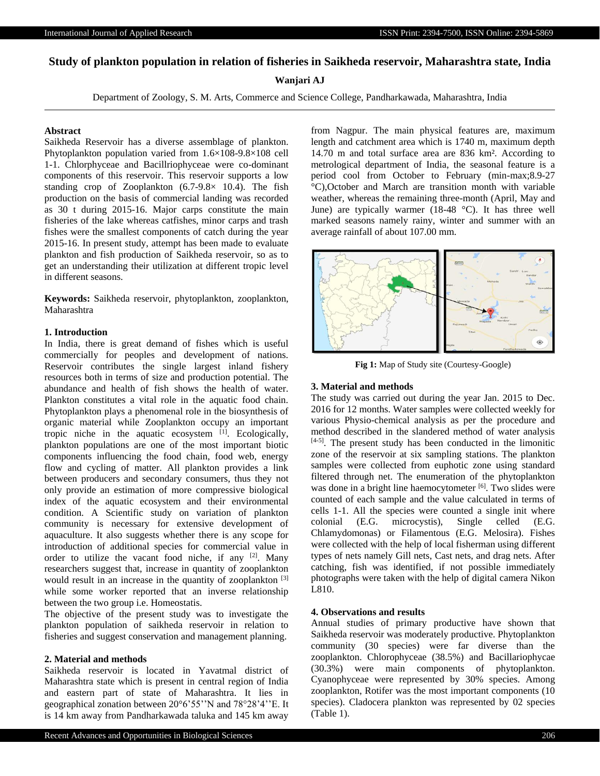# **Study of plankton population in relation of fisheries in Saikheda reservoir, Maharashtra state, India**

## **Wanjari AJ**

Department of Zoology, S. M. Arts, Commerce and Science College, Pandharkawada, Maharashtra, India

## **Abstract**

Saikheda Reservoir has a diverse assemblage of plankton. Phytoplankton population varied from 1.6×108-9.8×108 cell 1-1. Chlorphyceae and Bacillriophyceae were co-dominant components of this reservoir. This reservoir supports a low standing crop of Zooplankton (6.7-9.8× 10.4). The fish production on the basis of commercial landing was recorded as 30 t during 2015-16. Major carps constitute the main fisheries of the lake whereas catfishes, minor carps and trash fishes were the smallest components of catch during the year 2015-16. In present study, attempt has been made to evaluate plankton and fish production of Saikheda reservoir, so as to get an understanding their utilization at different tropic level in different seasons.

**Keywords:** Saikheda reservoir, phytoplankton, zooplankton, Maharashtra

#### **1. Introduction**

In India, there is great demand of fishes which is useful commercially for peoples and development of nations. Reservoir contributes the single largest inland fishery resources both in terms of size and production potential. The abundance and health of fish shows the health of water. Plankton constitutes a vital role in the aquatic food chain. Phytoplankton plays a phenomenal role in the biosynthesis of organic material while Zooplankton occupy an important tropic niche in the aquatic ecosystem  $[1]$ . Ecologically, plankton populations are one of the most important biotic components influencing the food chain, food web, energy flow and cycling of matter. All plankton provides a link between producers and secondary consumers, thus they not only provide an estimation of more compressive biological index of the aquatic ecosystem and their environmental condition. A Scientific study on variation of plankton community is necessary for extensive development of aquaculture. It also suggests whether there is any scope for introduction of additional species for commercial value in order to utilize the vacant food niche, if any  $[2]$ . Many researchers suggest that, increase in quantity of zooplankton would result in an increase in the quantity of zooplankton [3] while some worker reported that an inverse relationship between the two group i.e. Homeostatis.

The objective of the present study was to investigate the plankton population of saikheda reservoir in relation to fisheries and suggest conservation and management planning.

#### **2. Material and methods**

Saikheda reservoir is located in Yavatmal district of Maharashtra state which is present in central region of India and eastern part of state of Maharashtra. It lies in geographical zonation between 20°6'55''N and 78°28'4''E. It is 14 km away from Pandharkawada taluka and 145 km away

from Nagpur. The main physical features are, maximum length and catchment area which is 1740 m, maximum depth 14.70 m and total surface area are 836 km². According to metrological department of India, the seasonal feature is a period cool from October to February (min-max;8.9-27 °C),October and March are transition month with variable weather, whereas the remaining three-month (April, May and June) are typically warmer (18-48  $^{\circ}$ C). It has three well marked seasons namely rainy, winter and summer with an average rainfall of about 107.00 mm.



**Fig 1:** Map of Study site (Courtesy-Google)

#### **3. Material and methods**

The study was carried out during the year Jan. 2015 to Dec. 2016 for 12 months. Water samples were collected weekly for various Physio-chemical analysis as per the procedure and method described in the slandered method of water analysis  $[4-5]$ . The present study has been conducted in the limonitic zone of the reservoir at six sampling stations. The plankton samples were collected from euphotic zone using standard filtered through net. The enumeration of the phytoplankton was done in a bright line haemocytometer [6]. Two slides were counted of each sample and the value calculated in terms of cells 1-1. All the species were counted a single init where colonial (E.G. microcystis), Single celled (E.G. Chlamydomonas) or Filamentous (E.G. Melosira). Fishes were collected with the help of local fisherman using different types of nets namely Gill nets, Cast nets, and drag nets. After catching, fish was identified, if not possible immediately photographs were taken with the help of digital camera Nikon L810.

#### **4. Observations and results**

Annual studies of primary productive have shown that Saikheda reservoir was moderately productive. Phytoplankton community (30 species) were far diverse than the zooplankton. Chlorophyceae (38.5%) and Bacillariophycae (30.3%) were main components of phytoplankton. Cyanophyceae were represented by 30% species. Among zooplankton, Rotifer was the most important components (10 species). Cladocera plankton was represented by 02 species (Table 1).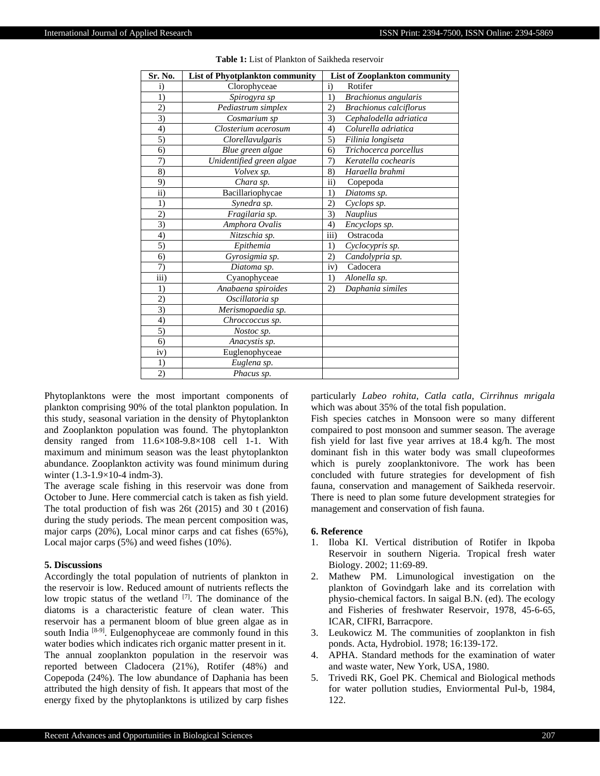| Sr. No.           | List of Phyotplankton community | <b>List of Zooplankton community</b> |
|-------------------|---------------------------------|--------------------------------------|
| $\mathbf{i}$      | Clorophyceae                    | $\mathbf{i}$<br>Rotifer              |
| 1)                | Spirogyra sp                    | 1)<br>Brachionus angularis           |
| 2)                | Pediastrum simplex              | <b>Brachionus</b> calciflorus<br>2)  |
| 3)                | Cosmarium sp                    | 3)<br>Cephalodella adriatica         |
| 4)                | Closterium acerosum             | Colurella adriatica<br>4)            |
| 5)                | Clorellavulgaris                | 5)<br>Filinia longiseta              |
| 6)                | Blue green algae                | Trichocerca porcellus<br>6)          |
| 7)                | Unidentified green algae        | 7)<br>Keratella cochearis            |
| 8)                | Volvex sp.                      | 8)<br>Haraella brahmi                |
| 9)                | Chara sp.                       | $\overline{ii}$<br>Copepoda          |
| $\overline{ii}$ ) | Bacillariophycae                | 1)<br>Diatoms sp.                    |
| 1)                | Synedra sp.                     | 2)<br>Cyclops sp.                    |
| 2)                | Fragilaria sp.                  | 3)<br><b>Nauplius</b>                |
| $\overline{3}$    | Amphora Ovalis                  | 4)<br>Encyclops sp.                  |
| 4)                | Nitzschia sp.                   | $\overline{iii}$<br>Ostracoda        |
| 5)                | Epithemia                       | 1)<br>Cyclocypris sp.                |
| 6)                | Gyrosigmia sp.                  | 2)<br>Candolypria sp.                |
| 7)                | Diatoma sp.                     | iv)<br>Cadocera                      |
| $\overline{iii}$  | Cyanophyceae                    | 1)<br>Alonella sp.                   |
| 1)                | Anabaena spiroides              | 2)<br>Daphania similes               |
| 2)                | Oscillatoria sp                 |                                      |
| 3)                | Merismopaedia sp.               |                                      |
| 4)                | Chroccoccus sp.                 |                                      |
| 5)                | Nostoc sp.                      |                                      |
| 6)                | Anacystis sp.                   |                                      |
| iv)               | Euglenophyceae                  |                                      |
| 1)                | Euglena sp.                     |                                      |
| 2)                | Phacus sp.                      |                                      |

**Table 1:** List of Plankton of Saikheda reservoir

Phytoplanktons were the most important components of plankton comprising 90% of the total plankton population. In this study, seasonal variation in the density of Phytoplankton and Zooplankton population was found. The phytoplankton density ranged from 11.6×108-9.8×108 cell 1-1. With maximum and minimum season was the least phytoplankton abundance. Zooplankton activity was found minimum during winter (1.3-1.9×10-4 indm-3).

The average scale fishing in this reservoir was done from October to June. Here commercial catch is taken as fish yield. The total production of fish was 26t (2015) and 30 t (2016) during the study periods. The mean percent composition was, major carps (20%), Local minor carps and cat fishes (65%), Local major carps (5%) and weed fishes (10%).

### **5. Discussions**

Accordingly the total population of nutrients of plankton in the reservoir is low. Reduced amount of nutrients reflects the low tropic status of the wetland  $[7]$ . The dominance of the diatoms is a characteristic feature of clean water. This reservoir has a permanent bloom of blue green algae as in south India [8-9]. Eulgenophyceae are commonly found in this water bodies which indicates rich organic matter present in it. The annual zooplankton population in the reservoir was reported between Cladocera (21%), Rotifer (48%) and Copepoda (24%). The low abundance of Daphania has been attributed the high density of fish. It appears that most of the energy fixed by the phytoplanktons is utilized by carp fishes

particularly *Labeo rohita, Catla catla, Cirrihnus mrigala* which was about 35% of the total fish population.

Fish species catches in Monsoon were so many different compaired to post monsoon and summer season. The average fish yield for last five year arrives at 18.4 kg/h. The most dominant fish in this water body was small clupeoformes which is purely zooplanktonivore. The work has been concluded with future strategies for development of fish fauna, conservation and management of Saikheda reservoir. There is need to plan some future development strategies for management and conservation of fish fauna.

#### **6. Reference**

- 1. Iloba KI. Vertical distribution of Rotifer in Ikpoba Reservoir in southern Nigeria. Tropical fresh water Biology. 2002; 11:69-89.
- 2. Mathew PM. Limunological investigation on the plankton of Govindgarh lake and its correlation with physio-chemical factors. In saigal B.N. (ed). The ecology and Fisheries of freshwater Reservoir, 1978, 45-6-65, ICAR, CIFRI, Barracpore.
- 3. Leukowicz M. The communities of zooplankton in fish ponds. Acta, Hydrobiol. 1978; 16:139-172.
- 4. APHA. Standard methods for the examination of water and waste water, New York, USA, 1980.
- 5. Trivedi RK, Goel PK. Chemical and Biological methods for water pollution studies, Enviormental Pul-b, 1984, 122.